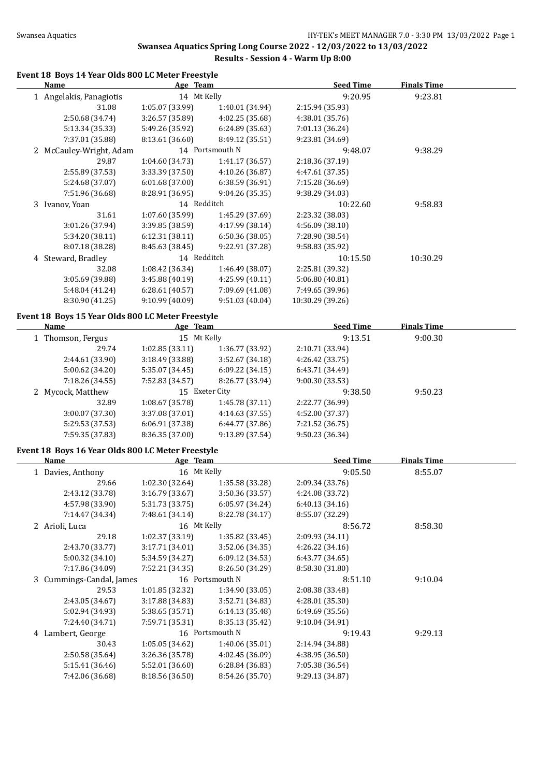# **Swansea Aquatics Spring Long Course 2022 - 12/03/2022 to 13/03/2022 Results - Session 4 - Warm Up 8:00**

#### **Event 18 Boys 14 Year Olds 800 LC Meter Freestyle**

| Name                    | Age Team        |                 | <b>Seed Time</b> | <b>Finals Time</b> |  |
|-------------------------|-----------------|-----------------|------------------|--------------------|--|
| 1 Angelakis, Panagiotis | 14 Mt Kelly     |                 | 9:20.95          | 9:23.81            |  |
| 31.08                   | 1:05.07(33.99)  | 1:40.01 (34.94) | 2:15.94 (35.93)  |                    |  |
| 2:50.68 (34.74)         | 3:26.57(35.89)  | 4:02.25 (35.68) | 4:38.01(35.76)   |                    |  |
| 5:13.34 (35.33)         | 5:49.26 (35.92) | 6:24.89(35.63)  | 7:01.13 (36.24)  |                    |  |
| 7:37.01 (35.88)         | 8:13.61(36.60)  | 8:49.12 (35.51) | 9:23.81 (34.69)  |                    |  |
| 2 McCauley-Wright, Adam |                 | 14 Portsmouth N | 9:48.07          | 9:38.29            |  |
| 29.87                   | 1:04.60(34.73)  | 1:41.17(36.57)  | 2:18.36 (37.19)  |                    |  |
| 2:55.89 (37.53)         | 3:33.39 (37.50) | 4:10.26 (36.87) | 4:47.61 (37.35)  |                    |  |
| 5:24.68 (37.07)         | 6:01.68(37.00)  | 6:38.59(36.91)  | 7:15.28 (36.69)  |                    |  |
| 7:51.96 (36.68)         | 8:28.91 (36.95) | 9:04.26 (35.35) | 9:38.29 (34.03)  |                    |  |
| 3 Ivanov, Yoan          |                 | 14 Redditch     | 10:22.60         | 9:58.83            |  |
| 31.61                   | 1:07.60(35.99)  | 1:45.29 (37.69) | 2:23.32 (38.03)  |                    |  |
| 3:01.26 (37.94)         | 3:39.85 (38.59) | 4:17.99 (38.14) | 4:56.09 (38.10)  |                    |  |
| 5:34.20 (38.11)         | 6:12.31(38.11)  | 6:50.36(38.05)  | 7:28.90 (38.54)  |                    |  |
| 8:07.18 (38.28)         | 8:45.63 (38.45) | 9:22.91 (37.28) | 9:58.83 (35.92)  |                    |  |
| 4 Steward, Bradley      |                 | 14 Redditch     | 10:15.50         | 10:30.29           |  |
| 32.08                   | 1:08.42(36.34)  | 1:46.49 (38.07) | 2:25.81 (39.32)  |                    |  |
| 3:05.69 (39.88)         | 3:45.88(40.19)  | 4:25.99(40.11)  | 5:06.80 (40.81)  |                    |  |
| 5:48.04 (41.24)         | 6:28.61(40.57)  | 7:09.69 (41.08) | 7:49.65 (39.96)  |                    |  |
| 8:30.90 (41.25)         | 9:10.99 (40.09) | 9:51.03(40.04)  | 10:30.29 (39.26) |                    |  |
|                         |                 |                 |                  |                    |  |

### **Event 18 Boys 15 Year Olds 800 LC Meter Freestyle**

| <u>Name</u>       | Age Team        |                 | <b>Seed Time</b> | <b>Finals Time</b> |  |
|-------------------|-----------------|-----------------|------------------|--------------------|--|
| 1 Thomson, Fergus |                 | 15 Mt Kelly     |                  | 9:00.30            |  |
| 29.74             | 1:02.85(33.11)  | 1:36.77 (33.92) | 2:10.71 (33.94)  |                    |  |
| 2:44.61 (33.90)   | 3:18.49(33.88)  | 3:52.67(34.18)  | 4:26.42 (33.75)  |                    |  |
| 5:00.62 (34.20)   | 5:35.07 (34.45) | 6:09.22(34.15)  | 6:43.71 (34.49)  |                    |  |
| 7:18.26 (34.55)   | 7:52.83 (34.57) | 8:26.77 (33.94) | 9:00.30(33.53)   |                    |  |
| 2 Mycock, Matthew | 15 Exeter City  |                 | 9:38.50          | 9:50.23            |  |
| 32.89             | 1:08.67(35.78)  | 1:45.78(37.11)  | 2:22.77 (36.99)  |                    |  |
| 3:00.07(37.30)    | 3:37.08(37.01)  | 4:14.63(37.55)  | 4:52.00 (37.37)  |                    |  |
| 5:29.53 (37.53)   | 6:06.91(37.38)  | 6:44.77 (37.86) | 7:21.52 (36.75)  |                    |  |
| 7:59.35 (37.83)   | 8:36.35(37.00)  | 9:13.89(37.54)  | 9:50.23(36.34)   |                    |  |

# **Event 18 Boys 16 Year Olds 800 LC Meter Freestyle**

| Name                     | Age Team        |                 | <b>Seed Time</b> | <b>Finals Time</b> |  |
|--------------------------|-----------------|-----------------|------------------|--------------------|--|
| 1 Davies, Anthony        | 16 Mt Kelly     |                 | 9:05.50          | 8:55.07            |  |
| 29.66                    | 1:02.30(32.64)  | 1:35.58 (33.28) | 2:09.34 (33.76)  |                    |  |
| 2:43.12 (33.78)          | 3:16.79(33.67)  | 3:50.36 (33.57) | 4:24.08 (33.72)  |                    |  |
| 4:57.98 (33.90)          | 5:31.73 (33.75) | 6:05.97(34.24)  | 6:40.13(34.16)   |                    |  |
| 7:14.47 (34.34)          | 7:48.61 (34.14) | 8:22.78 (34.17) | 8:55.07 (32.29)  |                    |  |
| 2 Arioli, Luca           | 16 Mt Kelly     |                 | 8:56.72          | 8:58.30            |  |
| 29.18                    | 1:02.37(33.19)  | 1:35.82(33.45)  | 2:09.93 (34.11)  |                    |  |
| 2:43.70 (33.77)          | 3:17.71 (34.01) | 3:52.06 (34.35) | 4:26.22(34.16)   |                    |  |
| 5:00.32(34.10)           | 5:34.59 (34.27) | 6:09.12 (34.53) | 6:43.77(34.65)   |                    |  |
| 7:17.86 (34.09)          | 7:52.21 (34.35) | 8:26.50 (34.29) | 8:58.30 (31.80)  |                    |  |
| 3 Cummings-Candal, James |                 | 16 Portsmouth N | 8:51.10          | 9:10.04            |  |
| 29.53                    | 1:01.85(32.32)  | 1:34.90 (33.05) | 2:08.38 (33.48)  |                    |  |
| 2:43.05 (34.67)          | 3:17.88 (34.83) | 3:52.71 (34.83) | 4:28.01 (35.30)  |                    |  |
| 5:02.94 (34.93)          | 5:38.65 (35.71) | 6:14.13 (35.48) | 6:49.69 (35.56)  |                    |  |
| 7:24.40 (34.71)          | 7:59.71 (35.31) | 8:35.13 (35.42) | 9:10.04(34.91)   |                    |  |
| 4 Lambert, George        |                 | 16 Portsmouth N | 9:19.43          | 9:29.13            |  |
| 30.43                    | 1:05.05(34.62)  | 1:40.06 (35.01) | 2:14.94 (34.88)  |                    |  |
| 2:50.58 (35.64)          | 3:26.36 (35.78) | 4:02.45 (36.09) | 4:38.95 (36.50)  |                    |  |
| 5:15.41 (36.46)          | 5:52.01(36.60)  | 6:28.84(36.83)  | 7:05.38 (36.54)  |                    |  |
| 7:42.06 (36.68)          | 8:18.56 (36.50) | 8:54.26 (35.70) | 9:29.13 (34.87)  |                    |  |
|                          |                 |                 |                  |                    |  |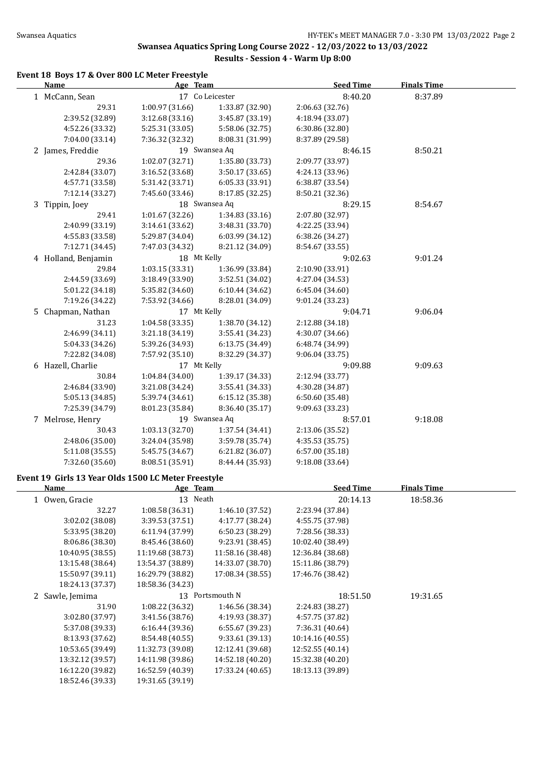### **Swansea Aquatics Spring Long Course 2022 - 12/03/2022 to 13/03/2022 Results - Session 4 - Warm Up 8:00**

### **Event 18 Boys 17 & Over 800 LC Meter Freestyle**

| Age Team<br><b>Name</b> |                 |                   | <b>Seed Time</b> | <b>Finals Time</b> |  |
|-------------------------|-----------------|-------------------|------------------|--------------------|--|
| 1 McCann, Sean          |                 | 17 Co Leicester   | 8:40.20          | 8:37.89            |  |
| 29.31                   | 1:00.97 (31.66) | 1:33.87 (32.90)   | 2:06.63 (32.76)  |                    |  |
| 2:39.52 (32.89)         | 3:12.68(33.16)  | 3:45.87 (33.19)   | 4:18.94 (33.07)  |                    |  |
| 4:52.26 (33.32)         | 5:25.31 (33.05) | 5:58.06 (32.75)   | 6:30.86 (32.80)  |                    |  |
| 7:04.00 (33.14)         | 7:36.32 (32.32) | 8:08.31 (31.99)   | 8:37.89 (29.58)  |                    |  |
| 2 James, Freddie        |                 | 19 Swansea Aq     | 8:46.15          | 8:50.21            |  |
| 29.36                   | 1:02.07 (32.71) | 1:35.80 (33.73)   | 2:09.77 (33.97)  |                    |  |
| 2:42.84 (33.07)         | 3:16.52 (33.68) | 3:50.17 (33.65)   | 4:24.13 (33.96)  |                    |  |
| 4:57.71 (33.58)         | 5:31.42 (33.71) | 6:05.33 (33.91)   | 6:38.87 (33.54)  |                    |  |
| 7:12.14 (33.27)         | 7:45.60 (33.46) | 8:17.85 (32.25)   | 8:50.21 (32.36)  |                    |  |
| 3 Tippin, Joey          |                 | 18 Swansea Aq     | 8:29.15          | 8:54.67            |  |
| 29.41                   | 1:01.67(32.26)  | 1:34.83(33.16)    | 2:07.80 (32.97)  |                    |  |
| 2:40.99 (33.19)         | 3:14.61 (33.62) | 3:48.31 (33.70)   | 4:22.25 (33.94)  |                    |  |
| 4:55.83 (33.58)         | 5:29.87 (34.04) | 6:03.99 (34.12)   | 6:38.26 (34.27)  |                    |  |
| 7:12.71 (34.45)         | 7:47.03 (34.32) | 8:21.12 (34.09)   | 8:54.67 (33.55)  |                    |  |
| 4 Holland, Benjamin     | 18 Mt Kelly     |                   | 9:02.63          | 9:01.24            |  |
| 29.84                   | 1:03.15(33.31)  | 1:36.99 (33.84)   | 2:10.90 (33.91)  |                    |  |
| 2:44.59 (33.69)         | 3:18.49 (33.90) | 3:52.51 (34.02)   | 4:27.04 (34.53)  |                    |  |
| 5:01.22 (34.18)         | 5:35.82 (34.60) | 6:10.44 (34.62)   | 6:45.04 (34.60)  |                    |  |
| 7:19.26 (34.22)         | 7:53.92 (34.66) | 8:28.01 (34.09)   | 9:01.24 (33.23)  |                    |  |
| 5 Chapman, Nathan       | 17 Mt Kelly     |                   | 9:04.71          | 9:06.04            |  |
| 31.23                   | 1:04.58 (33.35) | 1:38.70 (34.12)   | 2:12.88 (34.18)  |                    |  |
| 2:46.99 (34.11)         | 3:21.18 (34.19) | 3:55.41 (34.23)   | 4:30.07 (34.66)  |                    |  |
| 5:04.33 (34.26)         | 5:39.26 (34.93) | 6:13.75 (34.49)   | 6:48.74 (34.99)  |                    |  |
| 7:22.82 (34.08)         | 7:57.92 (35.10) | 8:32.29 (34.37)   | 9:06.04 (33.75)  |                    |  |
| 6 Hazell, Charlie       | 17 Mt Kelly     |                   | 9:09.88          | 9:09.63            |  |
| 30.84                   | 1:04.84 (34.00) | 1:39.17 (34.33)   | 2:12.94 (33.77)  |                    |  |
| 2:46.84 (33.90)         | 3:21.08 (34.24) | 3:55.41 (34.33)   | 4:30.28 (34.87)  |                    |  |
| 5:05.13 (34.85)         | 5:39.74 (34.61) | 6:15.12 (35.38)   | 6:50.60 (35.48)  |                    |  |
| 7:25.39 (34.79)         | 8:01.23 (35.84) | 8:36.40 (35.17)   | 9:09.63 (33.23)  |                    |  |
| 7 Melrose, Henry        |                 | 19 Swansea Aq     | 8:57.01          | 9:18.08            |  |
| 30.43                   | 1:03.13(32.70)  | 1:37.54 (34.41)   | 2:13.06 (35.52)  |                    |  |
| 2:48.06 (35.00)         | 3:24.04 (35.98) | 3:59.78 (35.74)   | 4:35.53 (35.75)  |                    |  |
| 5:11.08 (35.55)         | 5:45.75 (34.67) | $6:21.82$ (36.07) | 6:57.00(35.18)   |                    |  |
| 7:32.60 (35.60)         | 8:08.51 (35.91) | 8:44.44 (35.93)   | 9:18.08 (33.64)  |                    |  |

### **Event 19 Girls 13 Year Olds 1500 LC Meter Freestyle**

| Name             | Age Team         |                  | <b>Seed Time</b> | <b>Finals Time</b> |  |
|------------------|------------------|------------------|------------------|--------------------|--|
| 1 Owen, Gracie   | 13 Neath         |                  | 20:14.13         | 18:58.36           |  |
| 32.27            | 1:08.58(36.31)   | 1:46.10 (37.52)  | 2:23.94 (37.84)  |                    |  |
| 3:02.02 (38.08)  | 3:39.53 (37.51)  | 4:17.77 (38.24)  | 4:55.75 (37.98)  |                    |  |
| 5:33.95 (38.20)  | 6:11.94(37.99)   | 6:50.23(38.29)   | 7:28.56 (38.33)  |                    |  |
| 8:06.86 (38.30)  | 8:45.46 (38.60)  | 9:23.91 (38.45)  | 10:02.40 (38.49) |                    |  |
| 10:40.95 (38.55) | 11:19.68 (38.73) | 11:58.16 (38.48) | 12:36.84 (38.68) |                    |  |
| 13:15.48 (38.64) | 13:54.37 (38.89) | 14:33.07 (38.70) | 15:11.86 (38.79) |                    |  |
| 15:50.97 (39.11) | 16:29.79 (38.82) | 17:08.34 (38.55) | 17:46.76 (38.42) |                    |  |
| 18:24.13 (37.37) | 18:58.36 (34.23) |                  |                  |                    |  |
| 2 Sawle, Jemima  |                  | 13 Portsmouth N  | 18:51.50         | 19:31.65           |  |
| 31.90            | 1:08.22(36.32)   | 1:46.56 (38.34)  | 2:24.83 (38.27)  |                    |  |
| 3:02.80 (37.97)  | 3:41.56 (38.76)  | 4:19.93 (38.37)  | 4:57.75 (37.82)  |                    |  |
| 5:37.08 (39.33)  | 6:16.44(39.36)   | 6:55.67(39.23)   | 7:36.31 (40.64)  |                    |  |
| 8:13.93 (37.62)  | 8:54.48 (40.55)  | 9:33.61 (39.13)  | 10:14.16 (40.55) |                    |  |
| 10:53.65 (39.49) | 11:32.73 (39.08) | 12:12.41 (39.68) | 12:52.55 (40.14) |                    |  |
| 13:32.12 (39.57) | 14:11.98 (39.86) | 14:52.18 (40.20) | 15:32.38 (40.20) |                    |  |
| 16:12.20 (39.82) | 16:52.59 (40.39) | 17:33.24 (40.65) | 18:13.13 (39.89) |                    |  |
| 18:52.46 (39.33) | 19:31.65 (39.19) |                  |                  |                    |  |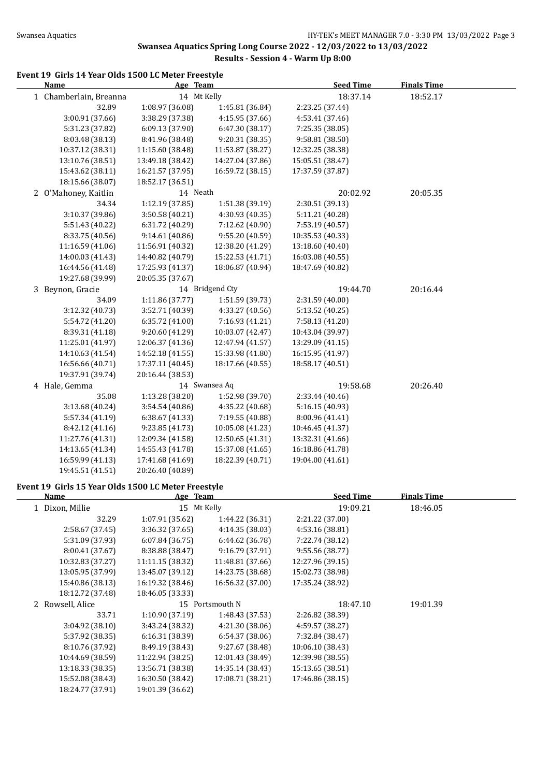### **Swansea Aquatics Spring Long Course 2022 - 12/03/2022 to 13/03/2022 Results - Session 4 - Warm Up 8:00**

# **Event 19 Girls 14 Year Olds 1500 LC Meter Freestyle**

| <b>Name</b>            | Age Team         |                  | <b>Seed Time</b> | <b>Finals Time</b> |  |
|------------------------|------------------|------------------|------------------|--------------------|--|
| 1 Chamberlain, Breanna | 14 Mt Kelly      |                  | 18:37.14         | 18:52.17           |  |
| 32.89                  | 1:08.97 (36.08)  | 1:45.81 (36.84)  | 2:23.25 (37.44)  |                    |  |
| 3:00.91 (37.66)        | 3:38.29 (37.38)  | 4:15.95 (37.66)  | 4:53.41 (37.46)  |                    |  |
| 5:31.23 (37.82)        | 6:09.13 (37.90)  | 6:47.30 (38.17)  | 7:25.35 (38.05)  |                    |  |
| 8:03.48 (38.13)        | 8:41.96 (38.48)  | 9:20.31 (38.35)  | 9:58.81 (38.50)  |                    |  |
| 10:37.12 (38.31)       | 11:15.60 (38.48) | 11:53.87 (38.27) | 12:32.25 (38.38) |                    |  |
| 13:10.76 (38.51)       | 13:49.18 (38.42) | 14:27.04 (37.86) | 15:05.51 (38.47) |                    |  |
| 15:43.62 (38.11)       | 16:21.57 (37.95) | 16:59.72 (38.15) | 17:37.59 (37.87) |                    |  |
| 18:15.66 (38.07)       | 18:52.17 (36.51) |                  |                  |                    |  |
| 2 O'Mahoney, Kaitlin   | 14 Neath         |                  | 20:02.92         | 20:05.35           |  |
| 34.34                  | 1:12.19 (37.85)  | 1:51.38 (39.19)  | 2:30.51 (39.13)  |                    |  |
| 3:10.37 (39.86)        | 3:50.58 (40.21)  | 4:30.93 (40.35)  | 5:11.21 (40.28)  |                    |  |
| 5:51.43 (40.22)        | 6:31.72 (40.29)  | 7:12.62 (40.90)  | 7:53.19 (40.57)  |                    |  |
| 8:33.75 (40.56)        | 9:14.61 (40.86)  | 9:55.20 (40.59)  | 10:35.53 (40.33) |                    |  |
| 11:16.59 (41.06)       | 11:56.91 (40.32) | 12:38.20 (41.29) | 13:18.60 (40.40) |                    |  |
| 14:00.03 (41.43)       | 14:40.82 (40.79) | 15:22.53 (41.71) | 16:03.08 (40.55) |                    |  |
| 16:44.56 (41.48)       | 17:25.93 (41.37) | 18:06.87 (40.94) | 18:47.69 (40.82) |                    |  |
| 19:27.68 (39.99)       | 20:05.35 (37.67) |                  |                  |                    |  |
| 3 Beynon, Gracie       |                  | 14 Bridgend Cty  | 19:44.70         | 20:16.44           |  |
| 34.09                  | 1:11.86 (37.77)  | 1:51.59 (39.73)  | 2:31.59 (40.00)  |                    |  |
| 3:12.32 (40.73)        | 3:52.71 (40.39)  | 4:33.27 (40.56)  | 5:13.52 (40.25)  |                    |  |
| 5:54.72 (41.20)        | 6:35.72 (41.00)  | 7:16.93 (41.21)  | 7:58.13 (41.20)  |                    |  |
| 8:39.31 (41.18)        | 9:20.60 (41.29)  | 10:03.07 (42.47) | 10:43.04 (39.97) |                    |  |
| 11:25.01 (41.97)       | 12:06.37 (41.36) | 12:47.94 (41.57) | 13:29.09 (41.15) |                    |  |
| 14:10.63 (41.54)       | 14:52.18 (41.55) | 15:33.98 (41.80) | 16:15.95 (41.97) |                    |  |
| 16:56.66 (40.71)       | 17:37.11 (40.45) | 18:17.66 (40.55) | 18:58.17 (40.51) |                    |  |
| 19:37.91 (39.74)       | 20:16.44 (38.53) |                  |                  |                    |  |
| 4 Hale, Gemma          |                  | 14 Swansea Aq    | 19:58.68         | 20:26.40           |  |
| 35.08                  | 1:13.28 (38.20)  | 1:52.98 (39.70)  | 2:33.44 (40.46)  |                    |  |
| 3:13.68 (40.24)        | 3:54.54 (40.86)  | 4:35.22 (40.68)  | 5:16.15 (40.93)  |                    |  |
| 5:57.34 (41.19)        | 6:38.67 (41.33)  | 7:19.55 (40.88)  | 8:00.96 (41.41)  |                    |  |
| 8:42.12 (41.16)        | 9:23.85 (41.73)  | 10:05.08 (41.23) | 10:46.45 (41.37) |                    |  |
| 11:27.76 (41.31)       | 12:09.34 (41.58) | 12:50.65 (41.31) | 13:32.31 (41.66) |                    |  |
| 14:13.65 (41.34)       | 14:55.43 (41.78) | 15:37.08 (41.65) | 16:18.86 (41.78) |                    |  |
| 16:59.99 (41.13)       | 17:41.68 (41.69) | 18:22.39 (40.71) | 19:04.00 (41.61) |                    |  |
| 19:45.51 (41.51)       | 20:26.40 (40.89) |                  |                  |                    |  |

#### **Event 19 Girls 15 Year Olds 1500 LC Meter Freestyle**

| Name             | Age Team         |                  | <b>Seed Time</b> | <b>Finals Time</b> |  |
|------------------|------------------|------------------|------------------|--------------------|--|
| 1 Dixon, Millie  | 15 Mt Kelly      |                  | 19:09.21         | 18:46.05           |  |
| 32.29            | 1:07.91 (35.62)  | 1:44.22 (36.31)  | 2:21.22 (37.00)  |                    |  |
| 2:58.67 (37.45)  | 3:36.32(37.65)   | 4:14.35(38.03)   | 4:53.16(38.81)   |                    |  |
| 5:31.09 (37.93)  | 6:07.84(36.75)   | 6:44.62 (36.78)  | 7:22.74 (38.12)  |                    |  |
| 8:00.41 (37.67)  | 8:38.88 (38.47)  | 9:16.79(37.91)   | 9:55.56(38.77)   |                    |  |
| 10:32.83 (37.27) | 11:11.15 (38.32) | 11:48.81 (37.66) | 12:27.96 (39.15) |                    |  |
| 13:05.95 (37.99) | 13:45.07 (39.12) | 14:23.75 (38.68) | 15:02.73 (38.98) |                    |  |
| 15:40.86 (38.13) | 16:19.32 (38.46) | 16:56.32 (37.00) | 17:35.24 (38.92) |                    |  |
| 18:12.72 (37.48) | 18:46.05 (33.33) |                  |                  |                    |  |
| 2 Rowsell, Alice |                  | 15 Portsmouth N  | 18:47.10         | 19:01.39           |  |
| 33.71            | 1:10.90(37.19)   | 1:48.43 (37.53)  | 2:26.82 (38.39)  |                    |  |
| 3:04.92(38.10)   | 3:43.24 (38.32)  | 4:21.30 (38.06)  | 4:59.57 (38.27)  |                    |  |
| 5:37.92 (38.35)  | 6:16.31(38.39)   | 6:54.37(38.06)   | 7:32.84 (38.47)  |                    |  |
| 8:10.76 (37.92)  | 8:49.19 (38.43)  | 9:27.67 (38.48)  | 10:06.10 (38.43) |                    |  |
| 10:44.69 (38.59) | 11:22.94 (38.25) | 12:01.43 (38.49) | 12:39.98 (38.55) |                    |  |
| 13:18.33 (38.35) | 13:56.71 (38.38) | 14:35.14 (38.43) | 15:13.65 (38.51) |                    |  |
| 15:52.08 (38.43) | 16:30.50 (38.42) | 17:08.71 (38.21) | 17:46.86 (38.15) |                    |  |
| 18:24.77 (37.91) | 19:01.39 (36.62) |                  |                  |                    |  |
|                  |                  |                  |                  |                    |  |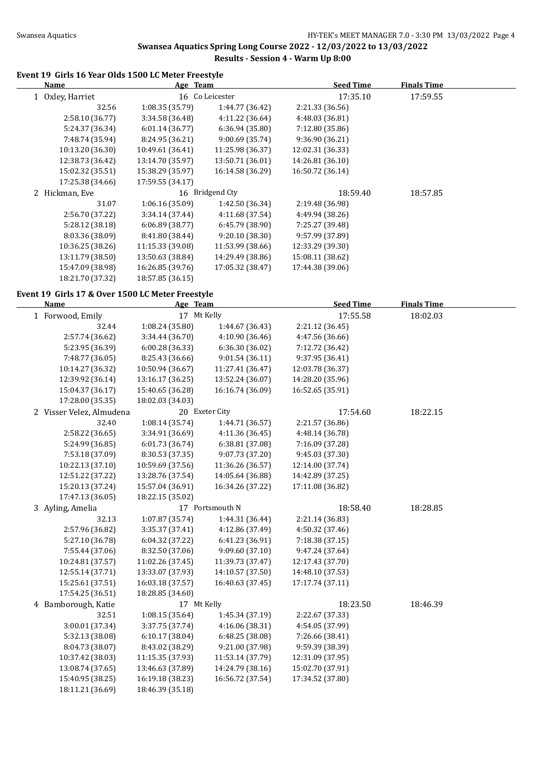# **Swansea Aquatics Spring Long Course 2022 - 12/03/2022 to 13/03/2022**

# **Results - Session 4 - Warm Up 8:00**

### **Event 19 Girls 16 Year Olds 1500 LC Meter Freestyle**

| Name             | Age Team         |                  | <b>Seed Time</b> | <b>Finals Time</b> |  |
|------------------|------------------|------------------|------------------|--------------------|--|
| Oxley, Harriet   |                  | 16 Co Leicester  | 17:35.10         | 17:59.55           |  |
| 32.56            | 1:08.35(35.79)   | 1:44.77 (36.42)  | 2:21.33 (36.56)  |                    |  |
| 2:58.10 (36.77)  | 3:34.58 (36.48)  | 4:11.22 (36.64)  | 4:48.03 (36.81)  |                    |  |
| 5:24.37 (36.34)  | 6:01.14(36.77)   | 6:36.94(35.80)   | 7:12.80 (35.86)  |                    |  |
| 7:48.74 (35.94)  | 8:24.95 (36.21)  | 9:00.69 (35.74)  | 9:36.90 (36.21)  |                    |  |
| 10:13.20 (36.30) | 10:49.61 (36.41) | 11:25.98 (36.37) | 12:02.31 (36.33) |                    |  |
| 12:38.73 (36.42) | 13:14.70 (35.97) | 13:50.71 (36.01) | 14:26.81 (36.10) |                    |  |
| 15:02.32 (35.51) | 15:38.29 (35.97) | 16:14.58 (36.29) | 16:50.72 (36.14) |                    |  |
| 17:25.38 (34.66) | 17:59.55 (34.17) |                  |                  |                    |  |
| 2 Hickman, Eve   |                  | 16 Bridgend Cty  | 18:59.40         | 18:57.85           |  |
| 31.07            | 1:06.16 (35.09)  | 1:42.50 (36.34)  | 2:19.48 (36.98)  |                    |  |
| 2:56.70 (37.22)  | 3:34.14(37.44)   | 4:11.68 (37.54)  | 4:49.94 (38.26)  |                    |  |
| 5:28.12 (38.18)  | 6:06.89(38.77)   | 6:45.79(38.90)   | 7:25.27 (39.48)  |                    |  |
| 8:03.36 (38.09)  | 8:41.80 (38.44)  | 9:20.10(38.30)   | 9:57.99 (37.89)  |                    |  |
| 10:36.25 (38.26) | 11:15.33 (39.08) | 11:53.99 (38.66) | 12:33.29 (39.30) |                    |  |
| 13:11.79 (38.50) | 13:50.63 (38.84) | 14:29.49 (38.86) | 15:08.11 (38.62) |                    |  |
| 15:47.09 (38.98) | 16:26.85 (39.76) | 17:05.32 (38.47) | 17:44.38 (39.06) |                    |  |
| 18:21.70 (37.32) | 18:57.85 (36.15) |                  |                  |                    |  |

### **Event 19 Girls 17 & Over 1500 LC Meter Freestyle**

| <b>Name</b>              | Age Team         |                  | <b>Seed Time</b> | <b>Finals Time</b> |  |
|--------------------------|------------------|------------------|------------------|--------------------|--|
| 1 Forwood, Emily         | 17 Mt Kelly      |                  | 17:55.58         | 18:02.03           |  |
| 32.44                    | 1:08.24(35.80)   | 1:44.67 (36.43)  | 2:21.12 (36.45)  |                    |  |
| 2:57.74 (36.62)          | 3:34.44 (36.70)  | 4:10.90 (36.46)  | 4:47.56 (36.66)  |                    |  |
| 5:23.95 (36.39)          | 6:00.28(36.33)   | 6:36.30 (36.02)  | 7:12.72 (36.42)  |                    |  |
| 7:48.77 (36.05)          | 8:25.43 (36.66)  | 9:01.54 (36.11)  | 9:37.95 (36.41)  |                    |  |
| 10:14.27 (36.32)         | 10:50.94 (36.67) | 11:27.41 (36.47) | 12:03.78 (36.37) |                    |  |
| 12:39.92 (36.14)         | 13:16.17 (36.25) | 13:52.24 (36.07) | 14:28.20 (35.96) |                    |  |
| 15:04.37 (36.17)         | 15:40.65 (36.28) | 16:16.74 (36.09) | 16:52.65 (35.91) |                    |  |
| 17:28.00 (35.35)         | 18:02.03 (34.03) |                  |                  |                    |  |
| 2 Visser Velez, Almudena |                  | 20 Exeter City   | 17:54.60         | 18:22.15           |  |
| 32.40                    | 1:08.14 (35.74)  | 1:44.71 (36.57)  | 2:21.57 (36.86)  |                    |  |
| 2:58.22 (36.65)          | 3:34.91 (36.69)  | 4:11.36 (36.45)  | 4:48.14 (36.78)  |                    |  |
| 5:24.99 (36.85)          | 6:01.73 (36.74)  | 6:38.81 (37.08)  | 7:16.09 (37.28)  |                    |  |
| 7:53.18 (37.09)          | 8:30.53 (37.35)  | 9:07.73 (37.20)  | 9:45.03 (37.30)  |                    |  |
| 10:22.13 (37.10)         | 10:59.69 (37.56) | 11:36.26 (36.57) | 12:14.00 (37.74) |                    |  |
| 12:51.22 (37.22)         | 13:28.76 (37.54) | 14:05.64 (36.88) | 14:42.89 (37.25) |                    |  |
| 15:20.13 (37.24)         | 15:57.04 (36.91) | 16:34.26 (37.22) | 17:11.08 (36.82) |                    |  |
| 17:47.13 (36.05)         | 18:22.15 (35.02) |                  |                  |                    |  |
| 3 Ayling, Amelia         |                  | 17 Portsmouth N  | 18:58.40         | 18:28.85           |  |
| 32.13                    | 1:07.87 (35.74)  | 1:44.31 (36.44)  | 2:21.14 (36.83)  |                    |  |
| 2:57.96 (36.82)          | 3:35.37 (37.41)  | 4:12.86 (37.49)  | 4:50.32 (37.46)  |                    |  |
| 5:27.10 (36.78)          | 6:04.32 (37.22)  | 6:41.23 (36.91)  | 7:18.38 (37.15)  |                    |  |
| 7:55.44 (37.06)          | 8:32.50 (37.06)  | 9:09.60 (37.10)  | 9:47.24 (37.64)  |                    |  |
| 10:24.81 (37.57)         | 11:02.26 (37.45) | 11:39.73 (37.47) | 12:17.43 (37.70) |                    |  |
| 12:55.14 (37.71)         | 13:33.07 (37.93) | 14:10.57 (37.50) | 14:48.10 (37.53) |                    |  |
| 15:25.61 (37.51)         | 16:03.18 (37.57) | 16:40.63 (37.45) | 17:17.74 (37.11) |                    |  |
| 17:54.25 (36.51)         | 18:28.85 (34.60) |                  |                  |                    |  |
| 4 Bamborough, Katie      | 17 Mt Kelly      |                  | 18:23.50         | 18:46.39           |  |
| 32.51                    | 1:08.15(35.64)   | 1:45.34 (37.19)  | 2:22.67 (37.33)  |                    |  |
| 3:00.01 (37.34)          | 3:37.75 (37.74)  | 4:16.06 (38.31)  | 4:54.05 (37.99)  |                    |  |
| 5:32.13 (38.08)          | 6:10.17(38.04)   | 6:48.25 (38.08)  | 7:26.66 (38.41)  |                    |  |
| 8:04.73 (38.07)          | 8:43.02 (38.29)  | 9:21.00 (37.98)  | 9:59.39 (38.39)  |                    |  |
| 10:37.42 (38.03)         | 11:15.35 (37.93) | 11:53.14 (37.79) | 12:31.09 (37.95) |                    |  |
| 13:08.74 (37.65)         | 13:46.63 (37.89) | 14:24.79 (38.16) | 15:02.70 (37.91) |                    |  |
| 15:40.95 (38.25)         | 16:19.18 (38.23) | 16:56.72 (37.54) | 17:34.52 (37.80) |                    |  |
| 18:11.21 (36.69)         | 18:46.39 (35.18) |                  |                  |                    |  |